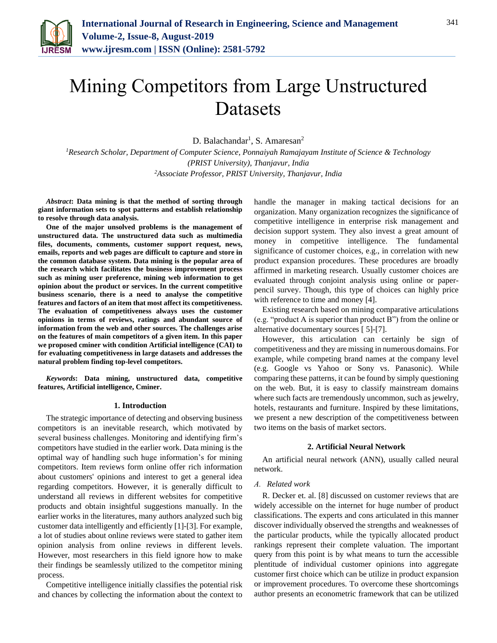

# Mining Competitors from Large Unstructured Datasets

D. Balachandar<sup>1</sup>, S. Amaresan<sup>2</sup>

*<sup>1</sup>Research Scholar, Department of Computer Science, Ponnaiyah Ramajayam Institute of Science & Technology (PRIST University), Thanjavur, India 2Associate Professor, PRIST University, Thanjavur, India*

*Abstract***: Data mining is that the method of sorting through giant information sets to spot patterns and establish relationship to resolve through data analysis.**

**One of the major unsolved problems is the management of unstructured data. The unstructured data such as multimedia files, documents, comments, customer support request, news, emails, reports and web pages are difficult to capture and store in the common database system. Data mining is the popular area of the research which facilitates the business improvement process such as mining user preference, mining web information to get opinion about the product or services. In the current competitive business scenario, there is a need to analyse the competitive features and factors of an item that most affect its competitiveness. The evaluation of competitiveness always uses the customer opinions in terms of reviews, ratings and abundant source of information from the web and other sources. The challenges arise on the features of main competitors of a given item. In this paper we proposed cminer with condition Artificial intelligence (CAI) to for evaluating competitiveness in large datasets and addresses the natural problem finding top-level competitors.**

*Keywords***: Data mining, unstructured data, competitive features, Artificial intelligence, Cminer.**

# **1. Introduction**

The strategic importance of detecting and observing business competitors is an inevitable research, which motivated by several business challenges. Monitoring and identifying firm's competitors have studied in the earlier work. Data mining is the optimal way of handling such huge information's for mining competitors. Item reviews form online offer rich information about customers' opinions and interest to get a general idea regarding competitors. However, it is generally difficult to understand all reviews in different websites for competitive products and obtain insightful suggestions manually. In the earlier works in the literatures, many authors analyzed such big customer data intelligently and efficiently [1]-[3]. For example, a lot of studies about online reviews were stated to gather item opinion analysis from online reviews in different levels. However, most researchers in this field ignore how to make their findings be seamlessly utilized to the competitor mining process.

Competitive intelligence initially classifies the potential risk and chances by collecting the information about the context to handle the manager in making tactical decisions for an organization. Many organization recognizes the significance of competitive intelligence in enterprise risk management and decision support system. They also invest a great amount of money in competitive intelligence. The fundamental significance of customer choices, e.g., in correlation with new product expansion procedures. These procedures are broadly affirmed in marketing research. Usually customer choices are evaluated through conjoint analysis using online or paperpencil survey. Though, this type of choices can highly price with reference to time and money [4].

Existing research based on mining comparative articulations (e.g. "product A is superior than product B") from the online or alternative documentary sources [ 5]-[7].

However, this articulation can certainly be sign of competitiveness and they are missing in numerous domains. For example, while competing brand names at the company level (e.g. Google vs Yahoo or Sony vs. Panasonic). While comparing these patterns, it can be found by simply questioning on the web. But, it is easy to classify mainstream domains where such facts are tremendously uncommon, such as jewelry, hotels, restaurants and furniture. Inspired by these limitations, we present a new description of the competitiveness between two items on the basis of market sectors.

# **2. Artificial Neural Network**

An artificial neural network (ANN), usually called neural network.

### *A. Related work*

R. Decker et. al. [8] discussed on customer reviews that are widely accessible on the internet for huge number of product classifications. The experts and cons articulated in this manner discover individually observed the strengths and weaknesses of the particular products, while the typically allocated product rankings represent their complete valuation. The important query from this point is by what means to turn the accessible plentitude of individual customer opinions into aggregate customer first choice which can be utilize in product expansion or improvement procedures. To overcome these shortcomings author presents an econometric framework that can be utilized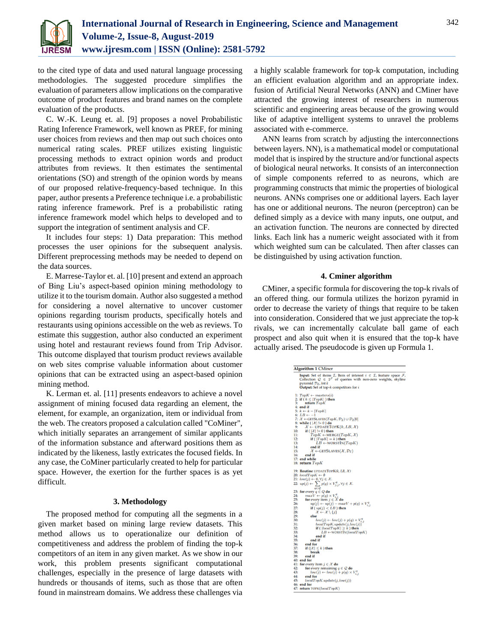

to the cited type of data and used natural language processing methodologies. The suggested procedure simplifies the evaluation of parameters allow implications on the comparative outcome of product features and brand names on the complete evaluation of the products.

C. W.-K. Leung et. al. [9] proposes a novel Probabilistic Rating Inference Framework, well known as PREF, for mining user choices from reviews and then map out such choices onto numerical rating scales. PREF utilizes existing linguistic processing methods to extract opinion words and product attributes from reviews. It then estimates the sentimental orientations (SO) and strength of the opinion words by means of our proposed relative-frequency-based technique. In this paper, author presents a Preference technique i.e. a probabilistic rating inference framework. Pref is a probabilistic rating inference framework model which helps to developed and to support the integration of sentiment analysis and CF.

It includes four steps: 1) Data preparation: This method processes the user opinions for the subsequent analysis. Different preprocessing methods may be needed to depend on the data sources.

E. Marrese-Taylor et. al. [10] present and extend an approach of Bing Liu's aspect-based opinion mining methodology to utilize it to the tourism domain. Author also suggested a method for considering a novel alternative to uncover customer opinions regarding tourism products, specifically hotels and restaurants using opinions accessible on the web as reviews. To estimate this suggestion, author also conducted an experiment using hotel and restaurant reviews found from Trip Advisor. This outcome displayed that tourism product reviews available on web sites comprise valuable information about customer opinions that can be extracted using an aspect-based opinion mining method.

K. Lerman et. al. [11] presents endeavors to achieve a novel assignment of mining focused data regarding an element, the element, for example, an organization, item or individual from the web. The creators proposed a calculation called "CoMiner", which initially separates an arrangement of similar applicants of the information substance and afterward positions them as indicated by the likeness, lastly extricates the focused fields. In any case, the CoMiner particularly created to help for particular space. However, the exertion for the further spaces is as yet difficult.

# **3. Methodology**

The proposed method for computing all the segments in a given market based on mining large review datasets. This method allows us to operationalize our definition of competitiveness and address the problem of finding the top-k competitors of an item in any given market. As we show in our work, this problem presents significant computational challenges, especially in the presence of large datasets with hundreds or thousands of items, such as those that are often found in mainstream domains. We address these challenges via a highly scalable framework for top-k computation, including an efficient evaluation algorithm and an appropriate index. fusion of Artificial Neural Networks (ANN) and CMiner have attracted the growing interest of researchers in numerous scientific and engineering areas because of the growing would like of adaptive intelligent systems to unravel the problems associated with e-commerce.

ANN learns from scratch by adjusting the interconnections between layers. NN), is a mathematical model or computational model that is inspired by the structure and/or functional aspects of biological neural networks. It consists of an interconnection of simple components referred to as neurons, which are programming constructs that mimic the properties of biological neurons. ANNs comprises one or additional layers. Each layer has one or additional neurons. The neuron (perceptron) can be defined simply as a device with many inputs, one output, and an activation function. The neurons are connected by directed links. Each link has a numeric weight associated with it from which weighted sum can be calculated. Then after classes can be distinguished by using activation function.

# **4. Cminer algorithm**

CMiner, a specific formula for discovering the top-k rivals of an offered thing. our formula utilizes the horizon pyramid in order to decrease the variety of things that require to be taken into consideration. Considered that we just appreciate the top-k rivals, we can incrementally calculate ball game of each prospect and also quit when it is ensured that the top-k have actually arised. The pseudocode is given up Formula 1.

|     | <b>Algorithm 1 CMiner</b>                                                                                       |
|-----|-----------------------------------------------------------------------------------------------------------------|
|     | <b>Input:</b> Set of items $\mathcal{I}$ , Item of interest $i \in \mathcal{I}$ , feature space $\mathcal{F}$ , |
|     | Collection $\mathcal{Q} \in 2^{\mathcal{F}}$ of queries with non-zero weights, skyline                          |
|     | pyramid $\mathcal{D}_{\mathcal{I}}$ , int k                                                                     |
|     | <b>Output:</b> Set of top- $k$ competitors for $i$                                                              |
|     | 1: $TopK \leftarrow{} masters(i)$                                                                               |
|     | 2: if $(k \leq  TopK )$ then                                                                                    |
| 3:  | return TopK                                                                                                     |
|     | $4:$ end if                                                                                                     |
|     | 5: $k \leftarrow k -  TopK $                                                                                    |
|     | 6: $LB \leftarrow -1$                                                                                           |
|     | 7: $\mathcal{X} \leftarrow$ GETSLAVES $(TopK, \mathcal{D}_{\mathcal{T}}) \cup \mathcal{D}_{\mathcal{T}}[0]$     |
|     | 8: while ( $ \mathcal{X}  := 0$ ) do                                                                            |
| 9:  | $\mathcal{X} \leftarrow$ UPDATETOPK $(k, LB, \mathcal{X})$                                                      |
| 10: | if ( $ \mathcal{X}  := 0$ ) then                                                                                |
| 11: | $TopK \leftarrow \text{MERGE}(TopK, \mathcal{X})$                                                               |
| 12: | if ( $ TopK  = k$ ) then                                                                                        |
| 13: | $LB \leftarrow \text{WORSTIN}(TopK)$                                                                            |
| 14: | end if                                                                                                          |
| 15: | $\mathcal{X} \leftarrow$ GETSLAVES $(\mathcal{X}, \mathcal{D}_{\mathcal{I}})$                                   |
| 16: | end if                                                                                                          |
|     | 17: end while                                                                                                   |
|     | 18: return $TopK$                                                                                               |
|     | 19: Routine UPDATETOPK(k, LB, X)                                                                                |
|     | 20: $localTopK \leftarrow \emptyset$                                                                            |
|     | 21: $low(j) \leftarrow 0, \forall j \in \mathcal{X}$ .                                                          |
|     | 22: $up(j) \leftarrow \sum p(q) \times V_{j,j}^q, \forall j \in \mathcal{X}.$<br>$q \in \mathcal{Q}$            |
|     | 23: for every $q \in Q$ do                                                                                      |
| 24: | $maxV \leftarrow p(q) \times V_i^q$                                                                             |
| 25: | for every item $j \in \mathcal{X}$ do                                                                           |
| 26: | $up(j) \leftarrow up(j) - maxV + p(q) \times V_{i,j}^q$                                                         |
| 27: | if $(up(j) < LB)$ then                                                                                          |
| 28: | $\mathcal{X} \leftarrow \mathcal{X} \setminus \{j\}$                                                            |
| 29: | else                                                                                                            |
| 30: | $low(j) \leftarrow low(j) + p(q) \times V_i^q$                                                                  |
| 31: | localTopK.update(j, low(j))                                                                                     |
| 32: | if ( $ localTopK  \geq k$ ) then                                                                                |
| 33: | $LB \leftarrow \text{WORSTIN}(localTopK)$                                                                       |
| 34: | end if                                                                                                          |
| 35: | end if                                                                                                          |
| 36: | end for                                                                                                         |
| 37: | if $( \mathcal{X}  \leq k)$ then                                                                                |
| 38: | break                                                                                                           |
| 39: | end if                                                                                                          |
|     | 40: end for                                                                                                     |
|     | 41: for every item $j \in \mathcal{X}$ do                                                                       |
| 42: | for every remaining $q \in \mathcal{Q}$ do                                                                      |
| 43: |                                                                                                                 |
| 44: | $low(j) \leftarrow low(j) + p(q) \times V_{i,j}^q$                                                              |
| 45: | end for                                                                                                         |
|     | localTopK.update(j, low(j))                                                                                     |
|     | 46: end for                                                                                                     |
|     | 47: return TOPK(localTopK)                                                                                      |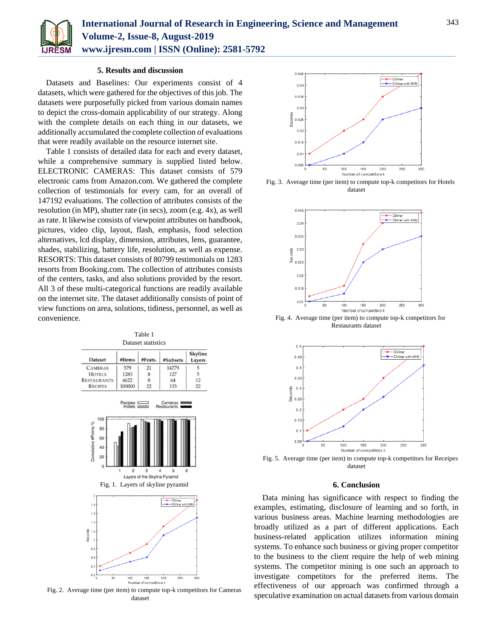

# **5. Results and discussion**

Datasets and Baselines: Our experiments consist of 4 datasets, which were gathered for the objectives of this job. The datasets were purposefully picked from various domain names to depict the cross-domain applicability of our strategy. Along with the complete details on each thing in our datasets, we additionally accumulated the complete collection of evaluations that were readily available on the resource internet site.

Table 1 consists of detailed data for each and every dataset, while a comprehensive summary is supplied listed below. ELECTRONIC CAMERAS: This dataset consists of 579 electronic cams from Amazon.com. We gathered the complete collection of testimonials for every cam, for an overall of 147192 evaluations. The collection of attributes consists of the resolution (in MP), shutter rate (in secs), zoom (e.g. 4x), as well as rate. It likewise consists of viewpoint attributes on handbook, pictures, video clip, layout, flash, emphasis, food selection alternatives, lcd display, dimension, attributes, lens, guarantee, shades, stabilizing, battery life, resolution, as well as expense. RESORTS: This dataset consists of 80799 testimonials on 1283 resorts from Booking.com. The collection of attributes consists of the centers, tasks, and also solutions provided by the resort. All 3 of these multi-categorical functions are readily available on the internet site. The dataset additionally consists of point of view functions on area, solutions, tidiness, personnel, as well as convenience.

| Table 1<br><b>Dataset statistics</b>                     |                                  |                                    |                                                                                    |                                 |  |  |
|----------------------------------------------------------|----------------------------------|------------------------------------|------------------------------------------------------------------------------------|---------------------------------|--|--|
| <b>Dataset</b>                                           | #Items                           | #Feats.                            | #Subsets                                                                           | <b>Skyline</b><br><b>Layers</b> |  |  |
| <b>CAMERAS</b>                                           | 579                              | 21                                 | 14779                                                                              | 5                               |  |  |
| <b>HOTELS</b>                                            | 1283                             | 8                                  | 127                                                                                | 5                               |  |  |
| <b>RESTAURANTS</b>                                       | 4622                             | 8                                  | 64                                                                                 | 12                              |  |  |
| <b>RECIPES</b>                                           | 100000                           | 22                                 | 133                                                                                | 22                              |  |  |
| 100<br>Cumulative #Points %<br>80<br>60<br>40<br>20<br>Ō | Recipes E<br>$\overline{2}$<br>1 | 3<br>Layers of the Skyline Pyramid | Cameras<br>Restaurants<br>5<br>$\overline{A}$<br>Fig. 1. Layers of skyline pyramid | 6                               |  |  |
| 2                                                        |                                  |                                    | <b>CMiner</b>                                                                      |                                 |  |  |
| 1.8                                                      |                                  |                                    | CMiner with ANN                                                                    |                                 |  |  |
| 1.6                                                      |                                  |                                    |                                                                                    |                                 |  |  |
| 1.4                                                      |                                  |                                    |                                                                                    |                                 |  |  |
| 1.2                                                      |                                  |                                    |                                                                                    |                                 |  |  |
| Seconds<br>1                                             |                                  |                                    |                                                                                    |                                 |  |  |
| 0.8                                                      |                                  |                                    |                                                                                    |                                 |  |  |
| 0.6                                                      |                                  |                                    |                                                                                    |                                 |  |  |
| 0.4                                                      |                                  |                                    |                                                                                    |                                 |  |  |
| 0.2                                                      |                                  |                                    |                                                                                    |                                 |  |  |
| 50<br>O                                                  | 100                              | 150<br>Number of competitors k     | 200<br>250                                                                         | 300                             |  |  |

Fig. 2. Average time (per item) to compute top-k competitors for Cameras dataset



Fig. 3. Average time (per item) to compute top-k competitors for Hotels dataset



Fig. 4. Average time (per item) to compute top-k competitors for Restaurants dataset



Fig. 5. Average time (per item) to compute top-k competitors for Receipes dataset

# **6. Conclusion**

Data mining has significance with respect to finding the examples, estimating, disclosure of learning and so forth, in various business areas. Machine learning methodologies are broadly utilized as a part of different applications. Each business-related application utilizes information mining systems. To enhance such business or giving proper competitor to the business to the client require the help of web mining systems. The competitor mining is one such an approach to investigate competitors for the preferred items. The effectiveness of our approach was confirmed through a speculative examination on actual datasets from various domain